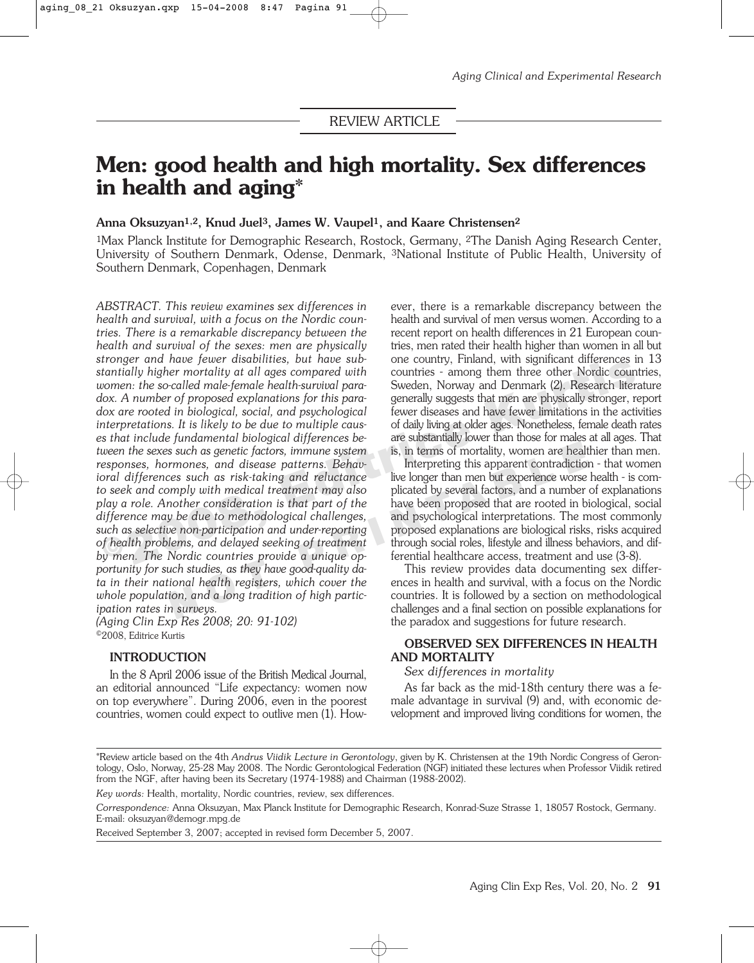# **Men: good health and high mortality. Sex differences in health and aging\***

## Anna Oksuzyan<sup>1,2</sup>, Knud Juel<sup>3</sup>, James W. Vaupel<sup>1</sup>, and Kaare Christensen<sup>2</sup>

1Max Planck Institute for Demographic Research, Rostock, Germany, 2The Danish Aging Research Center, University of Southern Denmark, Odense, Denmark, 3National Institute of Public Health, University of Southern Denmark, Copenhagen, Denmark

*ABSTRACT. This review examines sex differences in health and survival, with a focus on the Nordic countries. There is a remarkable discrepancy between the health and survival of the sexes: men are physically stronger and have fewer disabilities, but have substantially higher mortality at all ages compared with women: the so-called male-female health-survival paradox. A number of proposed explanations for this paradox are rooted in biological, social, and psychological interpretations. It is likely to be due to multiple causes that include fundamental biological differences between the sexes such as genetic factors, immune system responses, hormones, and disease patterns. Behavioral differences such as risk-taking and reluctance to seek and comply with medical treatment may also play a role. Another consideration is that part of the difference may be due to methodological challenges, such as selective non-participation and under-reporting of health problems, and delayed seeking of treatment by men. The Nordic countries provide a unique opportunity for such studies, as they have good-quality data in their national health registers, which cover the whole population, and a long tradition of high participation rates in surveys.* From the peak instanting and neutron is that such through since the so-called male female health-survival para-<br>
transformation in the contractions of this parameter in countries - among them three other Nordic count<br>
nom **Example 10 Example 10 Example 10 Example 10 CALC ACTS**, in the system is, in terms of mortality, women are healt rmones, and disease patterns. Behaveled the interpreting this apparent contradiction ces such as ris

*(Aging Clin Exp Res 2008; 20: 91-102)* ©2008, Editrice Kurtis

#### INTRODUCTION

In the 8 April 2006 issue of the British Medical Journal, an editorial announced "Life expectancy: women now on top everywhere". During 2006, even in the poorest countries, women could expect to outlive men (1). However, there is a remarkable discrepancy between the health and survival of men versus women. According to a recent report on health differences in 21 European countries, men rated their health higher than women in all but one country, Finland, with significant differences in 13 countries - among them three other Nordic countries, Sweden, Norway and Denmark (2). Research literature generally suggests that men are physically stronger, report fewer diseases and have fewer limitations in the activities of daily living at older ages. Nonetheless, female death rates are substantially lower than those for males at all ages. That is, in terms of mortality, women are healthier than men.

Interpreting this apparent contradiction - that women live longer than men but experience worse health - is complicated by several factors, and a number of explanations have been proposed that are rooted in biological, social and psychological interpretations. The most commonly proposed explanations are biological risks, risks acquired through social roles, lifestyle and illness behaviors, and differential healthcare access, treatment and use (3-8).

This review provides data documenting sex differences in health and survival, with a focus on the Nordic countries. It is followed by a section on methodological challenges and a final section on possible explanations for the paradox and suggestions for future research.

#### OBSERVED SEX DIFFERENCES IN HEALTH AND MORTALITY

#### *Sex differences in mortality*

As far back as the mid-18th century there was a female advantage in survival (9) and, with economic development and improved living conditions for women, the

\*Review article based on the 4th *Andrus Viidik Lecture in Gerontology*, given by K. Christensen at the 19th Nordic Congress of Gerontology, Oslo, Norway, 25-28 May 2008. The Nordic Gerontological Federation (NGF) initiated these lectures when Professor Viidik retired from the NGF, after having been its Secretary (1974-1988) and Chairman (1988-2002).

*Key words:* Health, mortality, Nordic countries, review, sex differences.

*Correspondence:* Anna Oksuzyan, Max Planck Institute for Demographic Research, Konrad-Suze Strasse 1, 18057 Rostock, Germany. E-mail: oksuzyan@demogr.mpg.de

Received September 3, 2007; accepted in revised form December 5, 2007.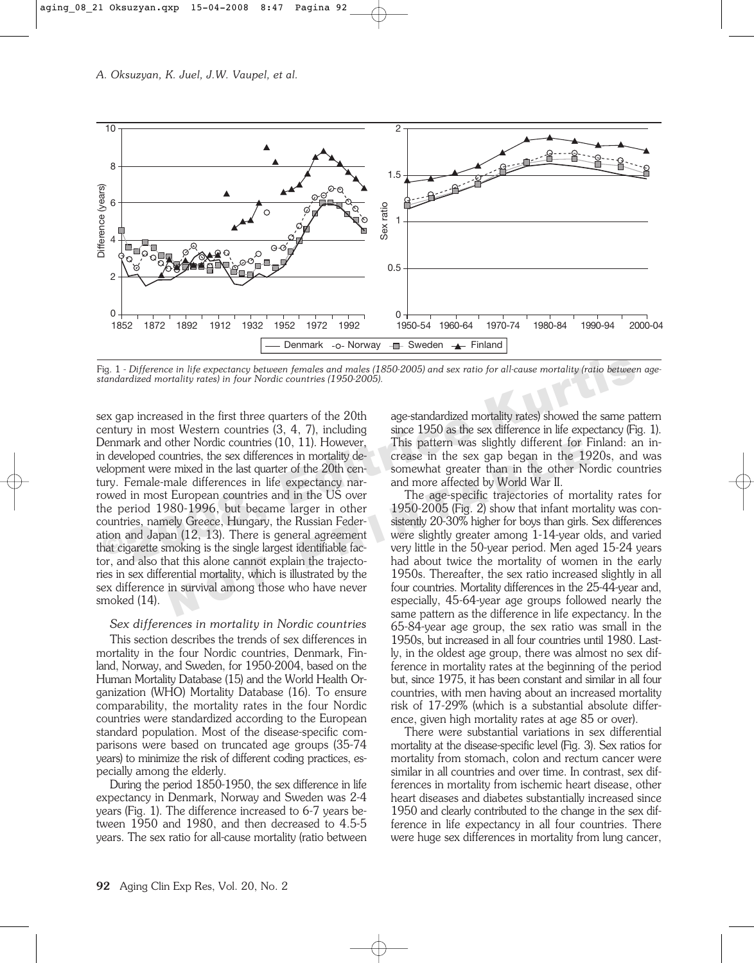

Fig. 1 - *Difference in life expectancy between females and males (1850-2005) and sex ratio for all-cause mortality (ratio between agestandardized mortality rates) in four Nordic countries (1950-2005).*

sex gap increased in the first three quarters of the 20th century in most Western countries (3, 4, 7), including Denmark and other Nordic countries (10, 11). However, in developed countries, the sex differences in mortality development were mixed in the last quarter of the 20th century. Female-male differences in life expectancy narrowed in most European countries and in the US over the period 1980-1996, but became larger in other countries, namely Greece, Hungary, the Russian Federation and Japan (12, 13). There is general agreement that cigarette smoking is the single largest identifiable factor, and also that this alone cannot explain the trajectories in sex differential mortality, which is illustrated by the sex difference in survival among those who have never smoked (14). Ng. 1 - Difference in life expectancy between females and males (1850-2005) and sex ratio for all-cause mortality fratio betwee<br>tandardized mortality rates) in four Nordic countries (1950-2005).<br>
ex gap increased in the fi other Nordic countries (10, 11). However,<br>
nother simulative crease in the sex gap began in the 19<br>
niked in the last quarter of the 20th cen-<br>
nomewhat greater than in the other Ne<br>
nomewhat greater than in the other Ne<br>

## *Sex differences in mortality in Nordic countries*

This section describes the trends of sex differences in mortality in the four Nordic countries, Denmark, Finland, Norway, and Sweden, for 1950-2004, based on the Human Mortality Database (15) and the World Health Organization (WHO) Mortality Database (16). To ensure comparability, the mortality rates in the four Nordic countries were standardized according to the European standard population. Most of the disease-specific comparisons were based on truncated age groups (35-74 years) to minimize the risk of different coding practices, especially among the elderly.

During the period 1850-1950, the sex difference in life expectancy in Denmark, Norway and Sweden was 2-4 years (Fig. 1). The difference increased to 6-7 years between 1950 and 1980, and then decreased to 4.5-5 years. The sex ratio for all-cause mortality (ratio between

age-standardized mortality rates) showed the same pattern since 1950 as the sex difference in life expectancy (Fig. 1). This pattern was slightly different for Finland: an increase in the sex gap began in the 1920s, and was somewhat greater than in the other Nordic countries and more affected by World War II.

The age-specific trajectories of mortality rates for 1950-2005 (Fig. 2) show that infant mortality was consistently 20-30% higher for boys than girls. Sex differences were slightly greater among 1-14-year olds, and varied very little in the 50-year period. Men aged 15-24 years had about twice the mortality of women in the early 1950s. Thereafter, the sex ratio increased slightly in all four countries. Mortality differences in the 25-44-year and, especially, 45-64-year age groups followed nearly the same pattern as the difference in life expectancy. In the 65-84-year age group, the sex ratio was small in the 1950s, but increased in all four countries until 1980. Lastly, in the oldest age group, there was almost no sex difference in mortality rates at the beginning of the period but, since 1975, it has been constant and similar in all four countries, with men having about an increased mortality risk of 17-29% (which is a substantial absolute difference, given high mortality rates at age 85 or over).

There were substantial variations in sex differential mortality at the disease-specific level (Fig. 3). Sex ratios for mortality from stomach, colon and rectum cancer were similar in all countries and over time. In contrast, sex differences in mortality from ischemic heart disease, other heart diseases and diabetes substantially increased since 1950 and clearly contributed to the change in the sex difference in life expectancy in all four countries. There were huge sex differences in mortality from lung cancer,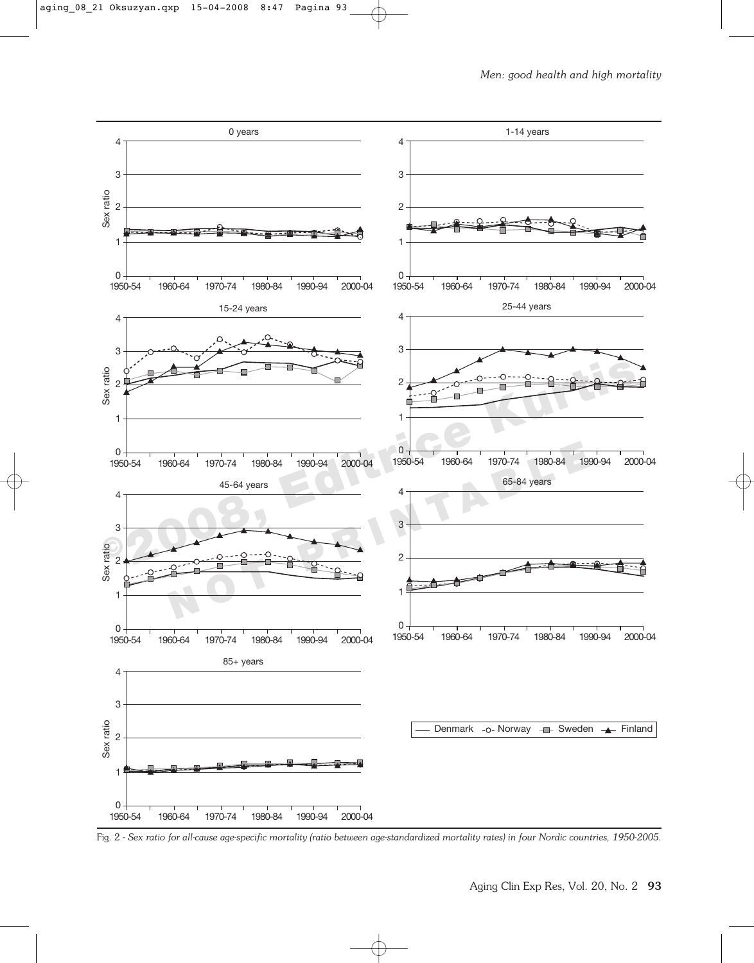

Fig. 2 - *Sex ratio for all-cause age-specific mortality (ratio between age-standardized mortality rates) in four Nordic countries, 1950-2005.*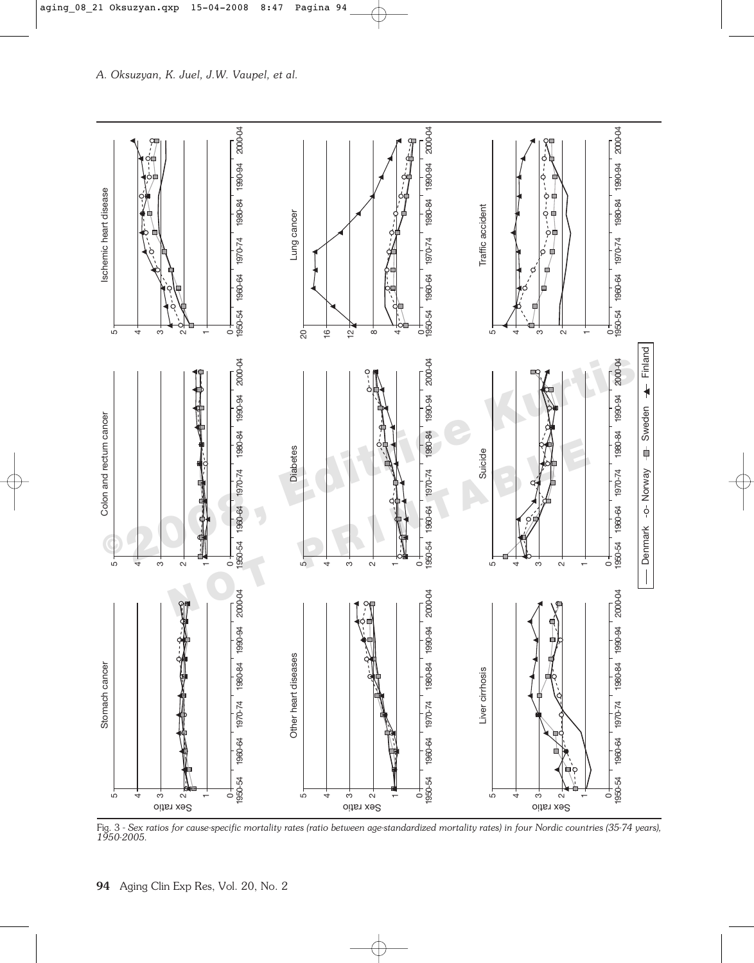

Fig. 3 - *Sex ratios for cause-specific mortality rates (ratio between age-standardized mortality rates) in four Nordic countries (35-74 years), 1950-2005.*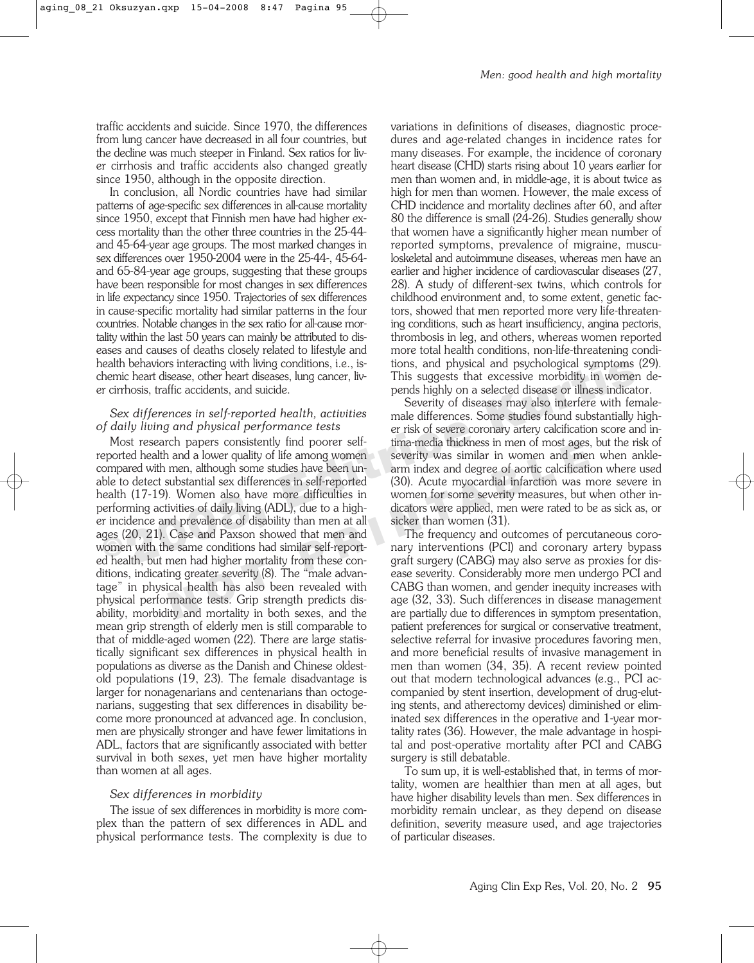traffic accidents and suicide. Since 1970, the differences from lung cancer have decreased in all four countries, but the decline was much steeper in Finland. Sex ratios for liver cirrhosis and traffic accidents also changed greatly since 1950, although in the opposite direction.

In conclusion, all Nordic countries have had similar patterns of age-specific sex differences in all-cause mortality since 1950, except that Finnish men have had higher excess mortality than the other three countries in the 25-44 and 45-64-year age groups. The most marked changes in sex differences over 1950-2004 were in the 25-44-, 45-64 and 65-84-year age groups, suggesting that these groups have been responsible for most changes in sex differences in life expectancy since 1950. Trajectories of sex differences in cause-specific mortality had similar patterns in the four countries. Notable changes in the sex ratio for all-cause mortality within the last 50 years can mainly be attributed to diseases and causes of deaths closely related to lifestyle and health behaviors interacting with living conditions, i.e., ischemic heart disease, other heart diseases, lung cancer, liver cirrhosis, traffic accidents, and suicide.

# *Sex differences in self-reported health, activities of daily living and physical performance tests*

Most research papers consistently find poorer selfreported health and a lower quality of life among women compared with men, although some studies have been unable to detect substantial sex differences in self-reported health (17-19). Women also have more difficulties in performing activities of daily living (ADL), due to a higher incidence and prevalence of disability than men at all ages (20, 21). Case and Paxson showed that men and women with the same conditions had similar self-reported health, but men had higher mortality from these conditions, indicating greater severity (8). The "male advantage" in physical health has also been revealed with physical performance tests. Grip strength predicts disability, morbidity and mortality in both sexes, and the mean grip strength of elderly men is still comparable to that of middle-aged women (22). There are large statistically significant sex differences in physical health in populations as diverse as the Danish and Chinese oldestold populations (19, 23). The female disadvantage is larger for nonagenarians and centenarians than octogenarians, suggesting that sex differences in disability become more pronounced at advanced age. In conclusion, men are physically stronger and have fewer limitations in ADL, factors that are significantly associated with better survival in both sexes, yet men have higher mortality than women at all ages. ealth behaviors interacting with living conditions, i.e., is-<br>
tions, and physical and psychological symptoms<br>
thermic heart disease, other heart disease, lung cancer, liv-<br>
This suggests that excessive morbidity in women<br> and a lower quality of life among women severity was similar in women and new severity was similar in women and mean and a lower quality of life among the substantial sex differences in self-reported (30). Acute myocardial

# *Sex differences in morbidity*

The issue of sex differences in morbidity is more complex than the pattern of sex differences in ADL and physical performance tests. The complexity is due to

variations in definitions of diseases, diagnostic procedures and age-related changes in incidence rates for many diseases. For example, the incidence of coronary heart disease (CHD) starts rising about 10 years earlier for men than women and, in middle-age, it is about twice as high for men than women. However, the male excess of CHD incidence and mortality declines after 60, and after 80 the difference is small (24-26). Studies generally show that women have a significantly higher mean number of reported symptoms, prevalence of migraine, musculoskeletal and autoimmune diseases, whereas men have an earlier and higher incidence of cardiovascular diseases (27, 28). A study of different-sex twins, which controls for childhood environment and, to some extent, genetic factors, showed that men reported more very life-threatening conditions, such as heart insufficiency, angina pectoris, thrombosis in leg, and others, whereas women reported more total health conditions, non-life-threatening conditions, and physical and psychological symptoms (29). This suggests that excessive morbidity in women depends highly on a selected disease or illness indicator.

Severity of diseases may also interfere with femalemale differences. Some studies found substantially higher risk of severe coronary artery calcification score and intima-media thickness in men of most ages, but the risk of severity was similar in women and men when anklearm index and degree of aortic calcification where used (30). Acute myocardial infarction was more severe in women for some severity measures, but when other indicators were applied, men were rated to be as sick as, or sicker than women (31).

The frequency and outcomes of percutaneous coronary interventions (PCI) and coronary artery bypass graft surgery (CABG) may also serve as proxies for disease severity. Considerably more men undergo PCI and CABG than women, and gender inequity increases with age (32, 33). Such differences in disease management are partially due to differences in symptom presentation, patient preferences for surgical or conservative treatment, selective referral for invasive procedures favoring men, and more beneficial results of invasive management in men than women (34, 35). A recent review pointed out that modern technological advances (e.g., PCI accompanied by stent insertion, development of drug-eluting stents, and atherectomy devices) diminished or eliminated sex differences in the operative and 1-year mortality rates (36). However, the male advantage in hospital and post-operative mortality after PCI and CABG surgery is still debatable.

To sum up, it is well-established that, in terms of mortality, women are healthier than men at all ages, but have higher disability levels than men. Sex differences in morbidity remain unclear, as they depend on disease definition, severity measure used, and age trajectories of particular diseases.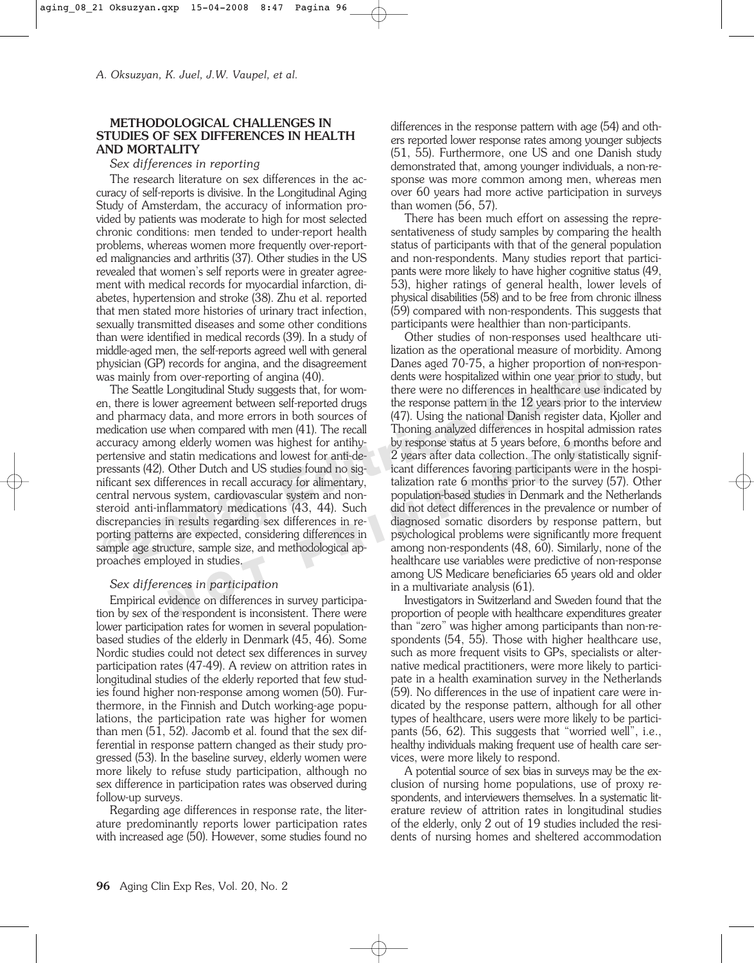# METHODOLOGICAL CHALLENGES IN STUDIES OF SEX DIFFERENCES IN HEALTH AND MORTALITY

# *Sex differences in reporting*

The research literature on sex differences in the accuracy of self-reports is divisive. In the Longitudinal Aging Study of Amsterdam, the accuracy of information provided by patients was moderate to high for most selected chronic conditions: men tended to under-report health problems, whereas women more frequently over-reported malignancies and arthritis (37). Other studies in the US revealed that women's self reports were in greater agreement with medical records for myocardial infarction, diabetes, hypertension and stroke (38). Zhu et al. reported that men stated more histories of urinary tract infection, sexually transmitted diseases and some other conditions than were identified in medical records (39). In a study of middle-aged men, the self-reports agreed well with general physician (GP) records for angina, and the disagreement was mainly from over-reporting of angina (40).

The Seattle Longitudinal Study suggests that, for women, there is lower agreement between self-reported drugs and pharmacy data, and more errors in both sources of medication use when compared with men (41). The recall accuracy among elderly women was highest for antihypertensive and statin medications and lowest for anti-depressants (42). Other Dutch and US studies found no significant sex differences in recall accuracy for alimentary, central nervous system, cardiovascular system and nonsteroid anti-inflammatory medications (43, 44). Such discrepancies in results regarding sex differences in reporting patterns are expected, considering differences in sample age structure, sample size, and methodological approaches employed in studies.

# *Sex differences in participation*

Empirical evidence on differences in survey participation by sex of the respondent is inconsistent. There were lower participation rates for women in several populationbased studies of the elderly in Denmark (45, 46). Some Nordic studies could not detect sex differences in survey participation rates (47-49). A review on attrition rates in longitudinal studies of the elderly reported that few studies found higher non-response among women (50). Furthermore, in the Finnish and Dutch working-age populations, the participation rate was higher for women than men (51, 52). Jacomb et al. found that the sex differential in response pattern changed as their study progressed (53). In the baseline survey, elderly women were more likely to refuse study participation, although no sex difference in participation rates was observed during follow-up surveys.

Regarding age differences in response rate, the literature predominantly reports lower participation rates with increased age (50). However, some studies found no

differences in the response pattern with age (54) and others reported lower response rates among younger subjects (51, 55). Furthermore, one US and one Danish study demonstrated that, among younger individuals, a non-response was more common among men, whereas men over 60 years had more active participation in surveys than women (56, 57).

There has been much effort on assessing the representativeness of study samples by comparing the health status of participants with that of the general population and non-respondents. Many studies report that participants were more likely to have higher cognitive status (49, 53), higher ratings of general health, lower levels of physical disabilities (58) and to be free from chronic illness (59) compared with non-respondents. This suggests that participants were healthier than non-participants.

Other studies of non-responses used healthcare utilization as the operational measure of morbidity. Among Danes aged 70-75, a higher proportion of non-respondents were hospitalized within one year prior to study, but there were no differences in healthcare use indicated by the response pattern in the 12 years prior to the interview (47). Using the national Danish register data, Kjoller and Thoning analyzed differences in hospital admission rates by response status at 5 years before, 6 months before and 2 years after data collection. The only statistically significant differences favoring participants were in the hospitalization rate 6 months prior to the survey (57). Other population-based studies in Denmark and the Netherlands did not detect differences in the prevalence or number of diagnosed somatic disorders by response pattern, but psychological problems were significantly more frequent among non-respondents (48, 60). Similarly, none of the healthcare use variables were predictive of non-response among US Medicare beneficiaries 65 years old and older in a multivariate analysis (61). Mysician (GP) records for angina, and the disagreement<br>
Danes aged 70-75, a higher proportion of non-resonarinity from over-reporting of angina (40).<br>
The Seattle Longitudian Study suggests that, for wom-<br>
there were no di In the presentation same state of the respondent is inconsistent. The complement is stated and US state of the Duchardon of the Duchardon of the state of the state of the state of the state of the state of the state of the

Investigators in Switzerland and Sweden found that the proportion of people with healthcare expenditures greater than "zero" was higher among participants than non-respondents (54, 55). Those with higher healthcare use, such as more frequent visits to GPs, specialists or alternative medical practitioners, were more likely to participate in a health examination survey in the Netherlands (59). No differences in the use of inpatient care were indicated by the response pattern, although for all other types of healthcare, users were more likely to be participants (56, 62). This suggests that "worried well", i.e., healthy individuals making frequent use of health care services, were more likely to respond.

A potential source of sex bias in surveys may be the exclusion of nursing home populations, use of proxy respondents, and interviewers themselves. In a systematic literature review of attrition rates in longitudinal studies of the elderly, only 2 out of 19 studies included the residents of nursing homes and sheltered accommodation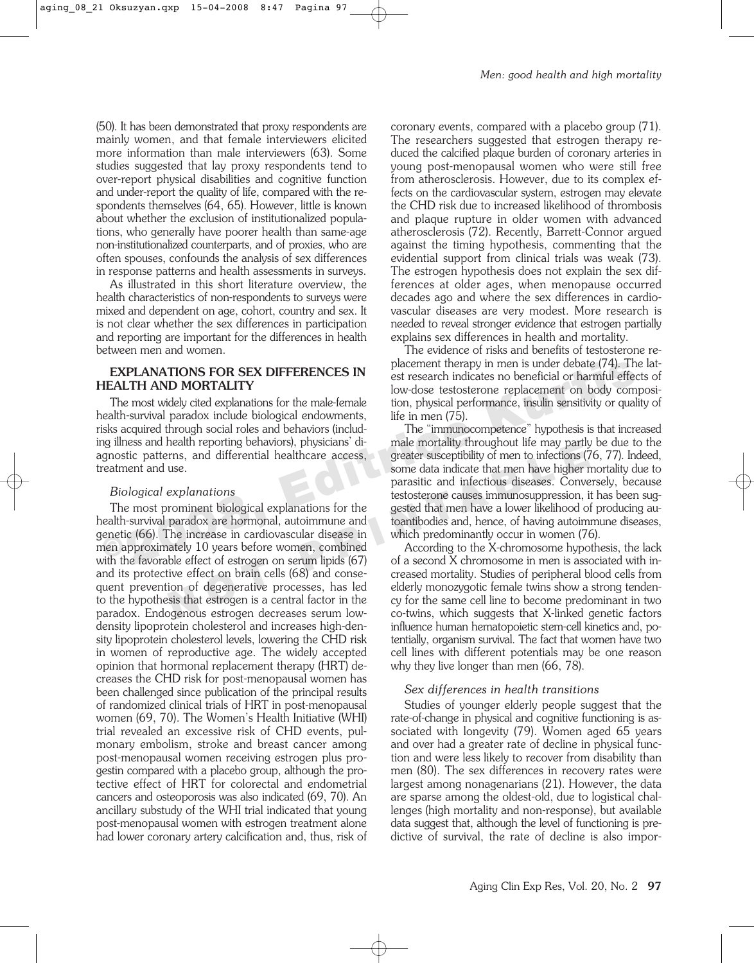(50). It has been demonstrated that proxy respondents are mainly women, and that female interviewers elicited more information than male interviewers (63). Some studies suggested that lay proxy respondents tend to over-report physical disabilities and cognitive function and under-report the quality of life, compared with the respondents themselves (64, 65). However, little is known about whether the exclusion of institutionalized populations, who generally have poorer health than same-age non-institutionalized counterparts, and of proxies, who are often spouses, confounds the analysis of sex differences in response patterns and health assessments in surveys.

As illustrated in this short literature overview, the health characteristics of non-respondents to surveys were mixed and dependent on age, cohort, country and sex. It is not clear whether the sex differences in participation and reporting are important for the differences in health between men and women.

### EXPLANATIONS FOR SEX DIFFERENCES IN HEALTH AND MORTALITY

The most widely cited explanations for the male-female health-survival paradox include biological endowments, risks acquired through social roles and behaviors (including illness and health reporting behaviors), physicians' diagnostic patterns, and differential healthcare access, treatment and use.

#### *Biological explanations*

The most prominent biological explanations for the health-survival paradox are hormonal, autoimmune and genetic (66). The increase in cardiovascular disease in men approximately 10 years before women, combined with the favorable effect of estrogen on serum lipids (67) and its protective effect on brain cells (68) and consequent prevention of degenerative processes, has led to the hypothesis that estrogen is a central factor in the paradox. Endogenous estrogen decreases serum lowdensity lipoprotein cholesterol and increases high-density lipoprotein cholesterol levels, lowering the CHD risk in women of reproductive age. The widely accepted opinion that hormonal replacement therapy (HRT) decreases the CHD risk for post-menopausal women has been challenged since publication of the principal results of randomized clinical trials of HRT in post-menopausal women (69, 70). The Women's Health Initiative (WHI) trial revealed an excessive risk of CHD events, pulmonary embolism, stroke and breast cancer among post-menopausal women receiving estrogen plus progestin compared with a placebo group, although the protective effect of HRT for colorectal and endometrial cancers and osteoporosis was also indicated (69, 70). An ancillary substudy of the WHI trial indicated that young post-menopausal women with estrogen treatment alone had lower coronary artery calcification and, thus, risk of **IN**<br>
ITERRELLE IN THE EXECUTE ON THE EXECUTE OF Some test sections of the some data indicate that men have higher test sections (and infectious diseases. Convergentations to the paradic are hormonal, autoimmune and the in

coronary events, compared with a placebo group (71). The researchers suggested that estrogen therapy reduced the calcified plaque burden of coronary arteries in young post-menopausal women who were still free from atherosclerosis. However, due to its complex effects on the cardiovascular system, estrogen may elevate the CHD risk due to increased likelihood of thrombosis and plaque rupture in older women with advanced atherosclerosis (72). Recently, Barrett-Connor argued against the timing hypothesis, commenting that the evidential support from clinical trials was weak (73). The estrogen hypothesis does not explain the sex differences at older ages, when menopause occurred decades ago and where the sex differences in cardiovascular diseases are very modest. More research is needed to reveal stronger evidence that estrogen partially explains sex differences in health and mortality.

The evidence of risks and benefits of testosterone replacement therapy in men is under debate (74). The latest research indicates no beneficial or harmful effects of low-dose testosterone replacement on body composition, physical performance, insulin sensitivity or quality of  $lifo$  in men  $(75)$ .

The "immunocompetence" hypothesis is that increased male mortality throughout life may partly be due to the greater susceptibility of men to infections (76, 77). Indeed, some data indicate that men have higher mortality due to parasitic and infectious diseases. Conversely, because testosterone causes immunosuppression, it has been suggested that men have a lower likelihood of producing autoantibodies and, hence, of having autoimmune diseases, which predominantly occur in women (76). **EXPLANATIONS FOR SEX DIFFERENCES IN**<br> **EXPLANATIONS FOR SEX DIFFERENCES IN**<br>
EXPLAINENT EXPLAINENT EXPLAINED TO RETALLED THE SURVEY THE SURVEY AND MORTALITY<br>
IDENTIFY SURVEY IN the state of the male-female<br>
Integral the

According to the X-chromosome hypothesis, the lack of a second X chromosome in men is associated with increased mortality. Studies of peripheral blood cells from elderly monozygotic female twins show a strong tendency for the same cell line to become predominant in two co-twins, which suggests that X-linked genetic factors influence human hematopoietic stem-cell kinetics and, potentially, organism survival. The fact that women have two cell lines with different potentials may be one reason why they live longer than men (66, 78).

# *Sex differences in health transitions*

Studies of younger elderly people suggest that the rate-of-change in physical and cognitive functioning is associated with longevity (79). Women aged 65 years and over had a greater rate of decline in physical function and were less likely to recover from disability than men (80). The sex differences in recovery rates were largest among nonagenarians (21). However, the data are sparse among the oldest-old, due to logistical challenges (high mortality and non-response), but available data suggest that, although the level of functioning is predictive of survival, the rate of decline is also impor-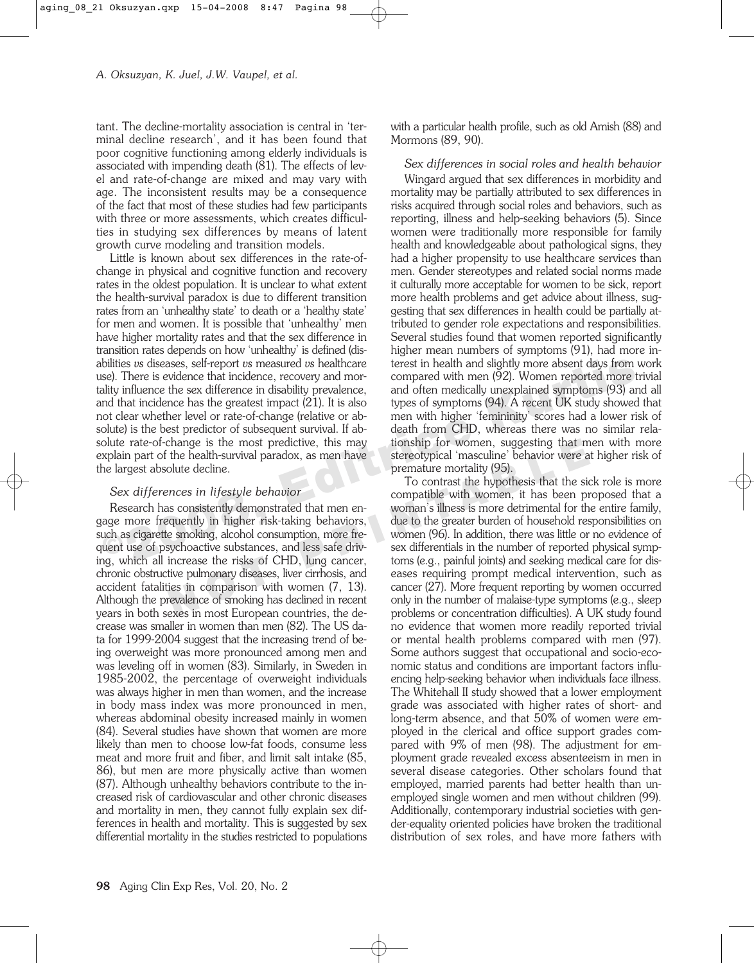tant. The decline-mortality association is central in 'terminal decline research', and it has been found that poor cognitive functioning among elderly individuals is associated with impending death (81). The effects of level and rate-of-change are mixed and may vary with age. The inconsistent results may be a consequence of the fact that most of these studies had few participants with three or more assessments, which creates difficulties in studying sex differences by means of latent growth curve modeling and transition models.

Little is known about sex differences in the rate-ofchange in physical and cognitive function and recovery rates in the oldest population. It is unclear to what extent the health-survival paradox is due to different transition rates from an 'unhealthy state' to death or a 'healthy state' for men and women. It is possible that 'unhealthy' men have higher mortality rates and that the sex difference in transition rates depends on how 'unhealthy' is defined (disabilities *vs* diseases, self-report *vs* measured *vs* healthcare use). There is evidence that incidence, recovery and mortality influence the sex difference in disability prevalence, and that incidence has the greatest impact (21). It is also not clear whether level or rate-of-change (relative or absolute) is the best predictor of subsequent survival. If absolute rate-of-change is the most predictive, this may explain part of the health-survival paradox, as men have the largest absolute decline. bilities vs diseases, self-report vs measured vs healthcare<br>
length and slightly more absent days from<br>
laity influence the iso-difference in disability prevalence,<br>
and often medically upseliance of corresponding the medi

# *Sex differences in lifestyle behavior*

Research has consistently demonstrated that men engage more frequently in higher risk-taking behaviors, such as cigarette smoking, alcohol consumption, more frequent use of psychoactive substances, and less safe driving, which all increase the risks of CHD, lung cancer, chronic obstructive pulmonary diseases, liver cirrhosis, and accident fatalities in comparison with women (7, 13). Although the prevalence of smoking has declined in recent years in both sexes in most European countries, the decrease was smaller in women than men (82). The US data for 1999-2004 suggest that the increasing trend of being overweight was more pronounced among men and was leveling off in women (83). Similarly, in Sweden in 1985-2002, the percentage of overweight individuals was always higher in men than women, and the increase in body mass index was more pronounced in men, whereas abdominal obesity increased mainly in women (84). Several studies have shown that women are more likely than men to choose low-fat foods, consume less meat and more fruit and fiber, and limit salt intake (85, 86), but men are more physically active than women (87). Although unhealthy behaviors contribute to the increased risk of cardiovascular and other chronic diseases and mortality in men, they cannot fully explain sex differences in health and mortality. This is suggested by sex differential mortality in the studies restricted to populations

with a particular health profile, such as old Amish (88) and Mormons (89, 90).

*Sex differences in social roles and health behavior* Wingard argued that sex differences in morbidity and mortality may be partially attributed to sex differences in risks acquired through social roles and behaviors, such as reporting, illness and help-seeking behaviors (5). Since women were traditionally more responsible for family health and knowledgeable about pathological signs, they had a higher propensity to use healthcare services than men. Gender stereotypes and related social norms made it culturally more acceptable for women to be sick, report more health problems and get advice about illness, suggesting that sex differences in health could be partially attributed to gender role expectations and responsibilities. Several studies found that women reported significantly higher mean numbers of symptoms (91), had more interest in health and slightly more absent days from work compared with men (92). Women reported more trivial and often medically unexplained symptoms (93) and all types of symptoms (94). A recent UK study showed that men with higher 'femininity' scores had a lower risk of death from CHD, whereas there was no similar relationship for women, suggesting that men with more stereotypical 'masculine' behavior were at higher risk of premature mortality (95).

To contrast the hypothesis that the sick role is more compatible with women, it has been proposed that a woman's illness is more detrimental for the entire family, due to the greater burden of household responsibilities on women (96). In addition, there was little or no evidence of sex differentials in the number of reported physical symptoms (e.g., painful joints) and seeking medical care for diseases requiring prompt medical intervention, such as cancer (27). More frequent reporting by women occurred only in the number of malaise-type symptoms (e.g., sleep problems or concentration difficulties). A UK study found no evidence that women more readily reported trivial or mental health problems compared with men (97). Some authors suggest that occupational and socio-economic status and conditions are important factors influencing help-seeking behavior when individuals face illness. The Whitehall II study showed that a lower employment grade was associated with higher rates of short- and long-term absence, and that 50% of women were employed in the clerical and office support grades compared with 9% of men (98). The adjustment for employment grade revealed excess absenteeism in men in several disease categories. Other scholars found that employed, married parents had better health than unemployed single women and men without children (99). Additionally, contemporary industrial societies with gender-equality oriented policies have broken the traditional distribution of sex roles, and have more fathers with change is the most predictive, this may<br>tionship for women, suggesting that m<br>the health-survival paradox, as men have<br>on the stereotypical 'masculine' behavior were a<br>prematter corntatt the hypothesis that the si<br>compatib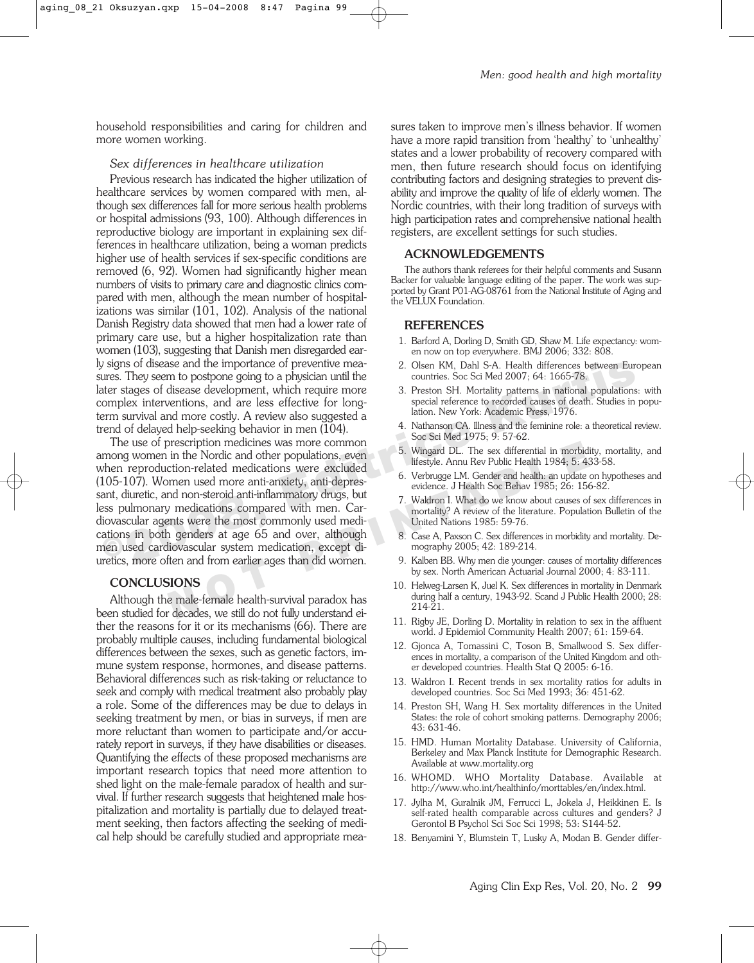household responsibilities and caring for children and more women working.

#### *Sex differences in healthcare utilization*

Previous research has indicated the higher utilization of healthcare services by women compared with men, although sex differences fall for more serious health problems or hospital admissions (93, 100). Although differences in reproductive biology are important in explaining sex differences in healthcare utilization, being a woman predicts higher use of health services if sex-specific conditions are removed (6, 92). Women had significantly higher mean numbers of visits to primary care and diagnostic clinics compared with men, although the mean number of hospitalizations was similar (101, 102). Analysis of the national Danish Registry data showed that men had a lower rate of primary care use, but a higher hospitalization rate than women (103), suggesting that Danish men disregarded early signs of disease and the importance of preventive measures. They seem to postpone going to a physician until the later stages of disease development, which require more complex interventions, and are less effective for longterm survival and more costly. A review also suggested a trend of delayed help-seeking behavior in men (104).

The use of prescription medicines was more common among women in the Nordic and other populations, even when reproduction-related medications were excluded (105-107). Women used more anti-anxiety, anti-depressant, diuretic, and non-steroid anti-inflammatory drugs, but less pulmonary medications compared with men. Cardiovascular agents were the most commonly used medications in both genders at age 65 and over, although men used cardiovascular system medication, except diuretics, more often and from earlier ages than did women. v signs of disease and the importance of preventive mea-<br>
ucurs. They seem to postpone going to a physician until the contrise. Soc Sci Med 2007; 64: 1665-78.<br>
inter stages of disease development, which require more<br>
are t DRESCRIPTION INCREDITED IN the Nordical distribution relation and other populations, even excluded<br>
In the Nordical and charge excluded<br>
S. Wingard DL. The sex differential in morbid<br>
trion-related medications were exclude

## **CONCLUSIONS**

Although the male-female health-survival paradox has been studied for decades, we still do not fully understand either the reasons for it or its mechanisms (66). There are probably multiple causes, including fundamental biological differences between the sexes, such as genetic factors, immune system response, hormones, and disease patterns. Behavioral differences such as risk-taking or reluctance to seek and comply with medical treatment also probably play a role. Some of the differences may be due to delays in seeking treatment by men, or bias in surveys, if men are more reluctant than women to participate and/or accurately report in surveys, if they have disabilities or diseases. Quantifying the effects of these proposed mechanisms are important research topics that need more attention to shed light on the male-female paradox of health and survival. If further research suggests that heightened male hospitalization and mortality is partially due to delayed treatment seeking, then factors affecting the seeking of medical help should be carefully studied and appropriate mea-

sures taken to improve men's illness behavior. If women have a more rapid transition from 'healthy' to 'unhealthy' states and a lower probability of recovery compared with men, then future research should focus on identifying contributing factors and designing strategies to prevent disability and improve the quality of life of elderly women. The Nordic countries, with their long tradition of surveys with high participation rates and comprehensive national health registers, are excellent settings for such studies.

#### ACKNOWLEDGEMENTS

The authors thank referees for their helpful comments and Susann Backer for valuable language editing of the paper. The work was supported by Grant P01-AG-08761 from the National Institute of Aging and the VELUX Foundation.

#### REFERENCES

- 1. Barford A, Dorling D, Smith GD, Shaw M. Life expectancy: women now on top everywhere. BMJ 2006; 332: 808.
- 2. Olsen KM, Dahl S-A. Health differences between European countries. Soc Sci Med 2007; 64: 1665-78.
- 3. Preston SH. Mortality patterns in national populations: with special reference to recorded causes of death. Studies in population. New York: Academic Press, 1976.
- 4. Nathanson CA. Illness and the feminine role: a theoretical review. Soc Sci Med 1975; 9: 57-62.
- 5. Wingard DL. The sex differential in morbidity, mortality, and lifestyle. Annu Rev Public Health 1984; 5: 433-58.
- 6. Verbrugge LM. Gender and health: an update on hypotheses and evidence. J Health Soc Behav 1985; 26: 156-82.
- 7. Waldron I. What do we know about causes of sex differences in mortality? A review of the literature. Population Bulletin of the United Nations 1985: 59-76.
- 8. Case A, Paxson C. Sex differences in morbidity and mortality. Demography 2005; 42: 189-214.
- 9. Kalben BB. Why men die younger: causes of mortality differences by sex. North American Actuarial Journal 2000; 4: 83-111.
- 10. Helweg-Larsen K, Juel K. Sex differences in mortality in Denmark during half a century, 1943-92. Scand J Public Health 2000; 28: 214-21.
- 11. Rigby JE, Dorling D. Mortality in relation to sex in the affluent world. J Epidemiol Community Health 2007; 61: 159-64.
- 12. Gjonca A, Tomassini C, Toson B, Smallwood S. Sex differences in mortality, a comparison of the United Kingdom and other developed countries. Health Stat Q 2005: 6-16.
- 13. Waldron I. Recent trends in sex mortality ratios for adults in developed countries. Soc Sci Med 1993; 36: 451-62.
- 14. Preston SH, Wang H. Sex mortality differences in the United States: the role of cohort smoking patterns. Demography 2006; 43: 631-46.
- 15. HMD. Human Mortality Database. University of California, Berkeley and Max Planck Institute for Demographic Research. Available at www.mortality.org
- 16. WHOMD. WHO Mortality Database. Available at http://www.who.int/healthinfo/morttables/en/index.html.
- 17. Jylha M, Guralnik JM, Ferrucci L, Jokela J, Heikkinen E. Is self-rated health comparable across cultures and genders? J Gerontol B Psychol Sci Soc Sci 1998; 53: S144-52.
- 18. Benyamini Y, Blumstein T, Lusky A, Modan B. Gender differ-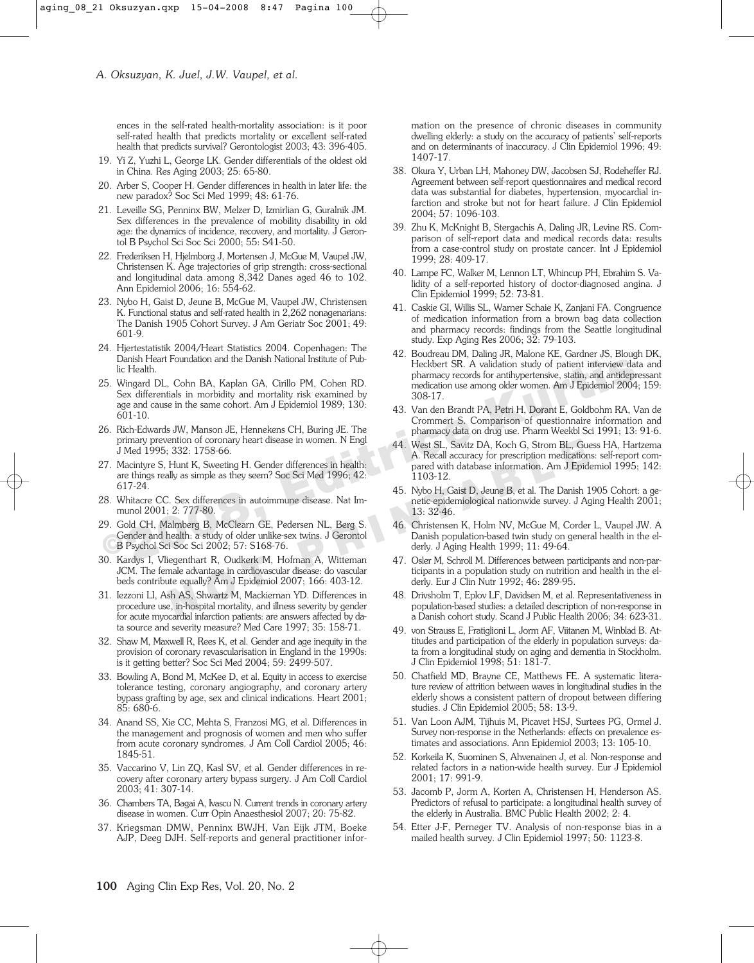ences in the self-rated health-mortality association: is it poor self-rated health that predicts mortality or excellent self-rated health that predicts survival? Gerontologist 2003; 43: 396-405.

- 19. Yi Z, Yuzhi L, George LK. Gender differentials of the oldest old in China. Res Aging 2003; 25: 65-80.
- 20. Arber S, Cooper H. Gender differences in health in later life: the new paradox? Soc Sci Med 1999; 48: 61-76.
- 21. Leveille SG, Penninx BW, Melzer D, Izmirlian G, Guralnik JM. Sex differences in the prevalence of mobility disability in old age: the dynamics of incidence, recovery, and mortality. J Gerontol B Psychol Sci Soc Sci 2000; 55: S41-50.
- 22. Frederiksen H, Hjelmborg J, Mortensen J, McGue M, Vaupel JW, Christensen K. Age trajectories of grip strength: cross-sectional and longitudinal data among 8,342 Danes aged 46 to 102. Ann Epidemiol 2006; 16: 554-62.
- 23. Nybo H, Gaist D, Jeune B, McGue M, Vaupel JW, Christensen K. Functional status and self-rated health in 2,262 nonagenarians: The Danish 1905 Cohort Survey. J Am Geriatr Soc 2001; 49: 601-9.
- 24. Hjertestatistik 2004/Heart Statistics 2004. Copenhagen: The Danish Heart Foundation and the Danish National Institute of Public Health.
- 25. Wingard DL, Cohn BA, Kaplan GA, Cirillo PM, Cohen RD. Sex differentials in morbidity and mortality risk examined by age and cause in the same cohort. Am J Epidemiol 1989; 130: 601-10. Daman Fractromation and the Damash National Institute of Pubmann Fractrice SR. A validation study of patient interview day<br>
25. Wingard DL, Cohn BA, Kaplan GA, Cirillo PM, Cohen RD.<br>
Sex differentials in morbidity and mort
- 26. Rich-Edwards JW, Manson JE, Hennekens CH, Buring JE. The primary prevention of coronary heart disease in women. N Engl J Med 1995; 332: 1758-66.
- 27. Macintyre S, Hunt K, Sweeting H. Gender differences in health: are things really as simple as they seem? Soc Sci Med 1996; 42: 617-24.
- 28. Whitacre CC. Sex differences in autoimmune disease. Nat Immunol 2001; 2: 777-80.
- 29. Gold CH, Malmberg B, McClearn GE, Pedersen NL, Berg S. Gender and health: a study of older unlike-sex twins. J Gerontol B Psychol Sci Soc Sci 2002; 57: S168-76.
- 30. Kardys I, Vliegenthart R, Oudkerk M, Hofman A, Witteman JCM. The female advantage in cardiovascular disease: do vascular beds contribute equally? Am J Epidemiol 2007; 166: 403-12.
- 31. Iezzoni LI, Ash AS, Shwartz M, Mackiernan YD. Differences in procedure use, in-hospital mortality, and illness severity by gender for acute myocardial infarction patients: are answers affected by data source and severity measure? Med Care 1997; 35: 158-71.
- 32. Shaw M, Maxwell R, Rees K, et al. Gender and age inequity in the provision of coronary revascularisation in England in the 1990s: is it getting better? Soc Sci Med 2004; 59: 2499-507.
- 33. Bowling A, Bond M, McKee D, et al. Equity in access to exercise tolerance testing, coronary angiography, and coronary artery bypass grafting by age, sex and clinical indications. Heart 2001; 85: 680-6.
- 34. Anand SS, Xie CC, Mehta S, Franzosi MG, et al. Differences in the management and prognosis of women and men who suffer from acute coronary syndromes. J Am Coll Cardiol 2005; 46: 1845-51.
- 35. Vaccarino V, Lin ZQ, Kasl SV, et al. Gender differences in recovery after coronary artery bypass surgery. J Am Coll Cardiol 2003; 41: 307-14.
- 36. Chambers TA, Bagai A, Ivascu N. Current trends in coronary artery disease in women. Curr Opin Anaesthesiol 2007; 20: 75-82.
- 37. Kriegsman DMW, Penninx BWJH, Van Eijk JTM, Boeke AJP, Deeg DJH. Self-reports and general practitioner infor-

mation on the presence of chronic diseases in community dwelling elderly: a study on the accuracy of patients' self-reports and on determinants of inaccuracy. J Clin Epidemiol 1996; 49: 1407-17.

- 38. Okura Y, Urban LH, Mahoney DW, Jacobsen SJ, Rodeheffer RJ. Agreement between self-report questionnaires and medical record data was substantial for diabetes, hypertension, myocardial infarction and stroke but not for heart failure. J Clin Epidemiol 2004; 57: 1096-103.
- 39. Zhu K, McKnight B, Stergachis A, Daling JR, Levine RS. Comparison of self-report data and medical records data: results from a case-control study on prostate cancer. Int J Epidemiol 1999; 28: 409-17.
- 40. Lampe FC, Walker M, Lennon LT, Whincup PH, Ebrahim S. Validity of a self-reported history of doctor-diagnosed angina. J Clin Epidemiol 1999; 52: 73-81.
- 41. Caskie GI, Willis SL, Warner Schaie K, Zanjani FA. Congruence of medication information from a brown bag data collection and pharmacy records: findings from the Seattle longitudinal study. Exp Aging Res 2006; 32: 79-103.
- 42. Boudreau DM, Daling JR, Malone KE, Gardner JS, Blough DK, Heckbert SR. A validation study of patient interview data and pharmacy records for antihypertensive, statin, and antidepressant medication use among older women. Am J Epidemiol 2004; 159: 308-17.
- 43. Van den Brandt PA, Petri H, Dorant E, Goldbohm RA, Van de Crommert S. Comparison of questionnaire information and pharmacy data on drug use. Pharm Weekbl Sci 1991; 13: 91-6.
- 44. West SL, Savitz DA, Koch G, Strom BL, Guess HA, Hartzema A. Recall accuracy for prescription medications: self-report compared with database information. Am J Epidemiol 1995; 142: 1103-12. **EXECUTE THEORY CONTROLL CONTROLL CONTROLL CONTROLL CONTROLL CONTROLL CONTROLL CONTROLL CONTROLL CONTROLL CONTROLL CONTROLL CONTROLL CONTROLL CONTROLL CONTROLL CONTROLL CONTROLL CONTROLL CONTROLL CONTROLL CONTROLL CONTROLL** 
	- 45. Nybo H, Gaist D, Jeune B, et al. The Danish 1905 Cohort: a genetic-epidemiological nationwide survey. J Aging Health 2001; 13: 32-46.
	- 46. Christensen K, Holm NV, McGue M, Corder L, Vaupel JW. A Danish population-based twin study on general health in the elderly. J Aging Health 1999; 11: 49-64.
	- 47. Osler M, Schroll M. Differences between participants and non-participants in a population study on nutrition and health in the elderly. Eur J Clin Nutr 1992; 46: 289-95.
	- 48. Drivsholm T, Eplov LF, Davidsen M, et al. Representativeness in population-based studies: a detailed description of non-response in a Danish cohort study. Scand J Public Health 2006; 34: 623-31.
	- 49. von Strauss E, Fratiglioni L, Jorm AF, Viitanen M, Winblad B. Attitudes and participation of the elderly in population surveys: data from a longitudinal study on aging and dementia in Stockholm. J Clin Epidemiol 1998; 51: 181-7.
	- 50. Chatfield MD, Brayne CE, Matthews FE. A systematic literature review of attrition between waves in longitudinal studies in the elderly shows a consistent pattern of dropout between differing studies. J Clin Epidemiol 2005; 58: 13-9.
	- 51. Van Loon AJM, Tijhuis M, Picavet HSJ, Surtees PG, Ormel J. Survey non-response in the Netherlands: effects on prevalence estimates and associations. Ann Epidemiol 2003; 13: 105-10.
	- 52. Korkeila K, Suominen S, Ahvenainen J, et al. Non-response and related factors in a nation-wide health survey. Eur J Epidemiol 2001; 17: 991-9.
	- 53. Jacomb P, Jorm A, Korten A, Christensen H, Henderson AS. Predictors of refusal to participate: a longitudinal health survey of the elderly in Australia. BMC Public Health 2002; 2: 4.
	- 54. Etter J-F, Perneger TV. Analysis of non-response bias in a mailed health survey. J Clin Epidemiol 1997; 50: 1123-8.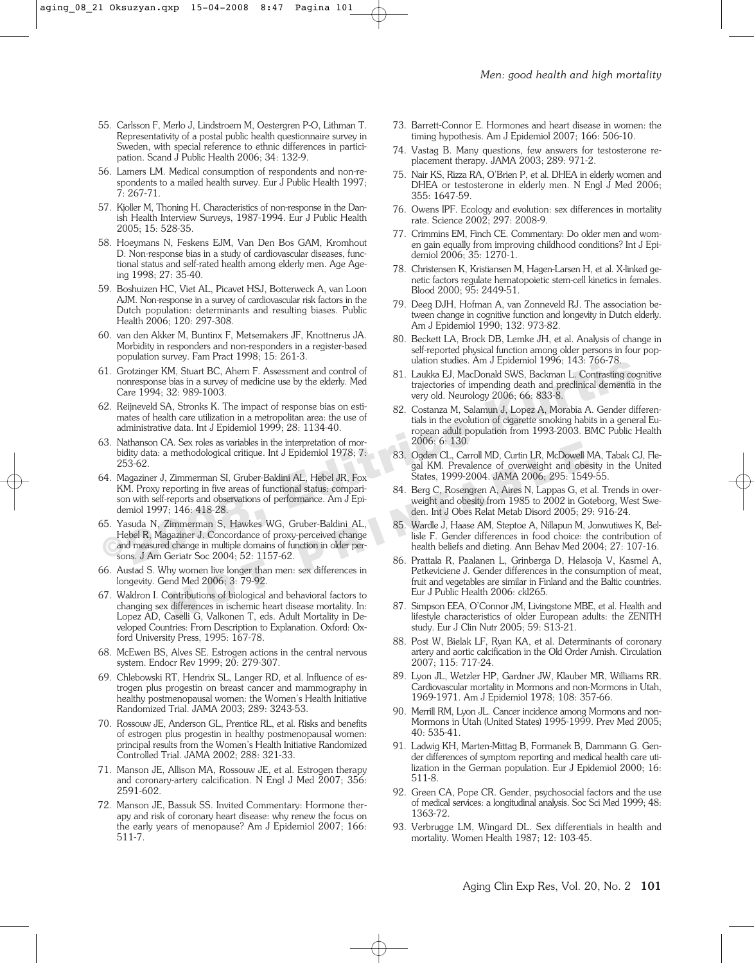- 55. Carlsson F, Merlo J, Lindstroem M, Oestergren P-O, Lithman T. Representativity of a postal public health questionnaire survey in Sweden, with special reference to ethnic differences in participation. Scand J Public Health 2006; 34: 132-9.
- 56. Lamers LM. Medical consumption of respondents and non-respondents to a mailed health survey. Eur J Public Health 1997; 7: 267-71.
- 57. Kjoller M, Thoning H. Characteristics of non-response in the Danish Health Interview Surveys, 1987-1994. Eur J Public Health 2005; 15: 528-35.
- 58. Hoeymans N, Feskens EJM, Van Den Bos GAM, Kromhout D. Non-response bias in a study of cardiovascular diseases, functional status and self-rated health among elderly men. Age Ageing 1998; 27: 35-40.
- 59. Boshuizen HC, Viet AL, Picavet HSJ, Botterweck A, van Loon AJM. Non-response in a survey of cardiovascular risk factors in the Dutch population: determinants and resulting biases. Public Health 2006; 120: 297-308.
- 60. van den Akker M, Buntinx F, Metsemakers JF, Knottnerus JA. Morbidity in responders and non-responders in a register-based population survey. Fam Pract 1998; 15: 261-3.
- 61. Grotzinger KM, Stuart BC, Ahern F. Assessment and control of nonresponse bias in a survey of medicine use by the elderly. Med Care 1994; 32: 989-1003.
- 62. Reijneveld SA, Stronks K. The impact of response bias on estimates of health care utilization in a metropolitan area: the use of administrative data. Int J Epidemiol 1999; 28: 1134-40.
- 63. Nathanson CA. Sex roles as variables in the interpretation of morbidity data: a methodological critique. Int J Epidemiol 1978; 7: 253-62.
- 64. Magaziner J, Zimmerman SI, Gruber-Baldini AL, Hebel JR, Fox KM. Proxy reporting in five areas of functional status: comparison with self-reports and observations of performance. Am J Epidemiol 1997; 146: 418-28. 31. Grotzinger KM, Stuart BC, Ahem F. Assessment and control of a Laukka EJ, MacDonald SWS, Backman L. Contrasting concersponse bias in a survey of medicine use by the elderly. Med<br>
2. Reijneveld SA, Stronks K. The impact
- 65. Yasuda N, Zimmerman S, Hawkes WG, Gruber-Baldini AL, Hebel R, Magaziner J. Concordance of proxy-perceived change and measured change in multiple domains of function in older persons. J Am Geriatr Soc 2004; 52: 1157-62.
- 66. Austad S. Why women live longer than men: sex differences in longevity. Gend Med 2006; 3: 79-92.
- 67. Waldron I. Contributions of biological and behavioral factors to changing sex differences in ischemic heart disease mortality. In: Lopez AD, Caselli G, Valkonen T, eds. Adult Mortality in Developed Countries: From Description to Explanation. Oxford: Oxford University Press, 1995: 167-78.
- 68. McEwen BS, Alves SE. Estrogen actions in the central nervous system. Endocr Rev 1999; 20: 279-307.
- 69. Chlebowski RT, Hendrix SL, Langer RD, et al. Influence of estrogen plus progestin on breast cancer and mammography in healthy postmenopausal women: the Women's Health Initiative Randomized Trial. JAMA 2003; 289: 3243-53.
- 70. Rossouw JE, Anderson GL, Prentice RL, et al. Risks and benefits of estrogen plus progestin in healthy postmenopausal women: principal results from the Women's Health Initiative Randomized Controlled Trial. JAMA 2002; 288: 321-33.
- 71. Manson JE, Allison MA, Rossouw JE, et al. Estrogen therapy and coronary-artery calcification. N Engl J Med 2007; 356: 2591-602.
- 72. Manson JE, Bassuk SS. Invited Commentary: Hormone therapy and risk of coronary heart disease: why renew the focus on the early years of menopause? Am J Epidemiol 2007; 166: 511-7.
- 73. Barrett-Connor E. Hormones and heart disease in women: the timing hypothesis. Am J Epidemiol 2007; 166: 506-10.
- 74. Vastag B. Many questions, few answers for testosterone replacement therapy. JAMA 2003; 289: 971-2.
- 75. Nair KS, Rizza RA, O'Brien P, et al. DHEA in elderly women and DHEA or testosterone in elderly men. N Engl J Med 2006; 355: 1647-59.
- 76. Owens IPF. Ecology and evolution: sex differences in mortality rate. Science 2002; 297: 2008-9.
- 77. Crimmins EM, Finch CE. Commentary: Do older men and women gain equally from improving childhood conditions? Int J Epidemiol 2006; 35: 1270-1.
- 78. Christensen K, Kristiansen M, Hagen-Larsen H, et al. X-linked genetic factors regulate hematopoietic stem-cell kinetics in females. Blood 2000; 95: 2449-51.
- 79. Deeg DJH, Hofman A, van Zonneveld RJ. The association between change in cognitive function and longevity in Dutch elderly. Am J Epidemiol 1990; 132: 973-82.
- 80. Beckett LA, Brock DB, Lemke JH, et al. Analysis of change in self-reported physical function among older persons in four population studies. Am J Epidemiol 1996; 143: 766-78.
- 81. Laukka EJ, MacDonald SWS, Backman L. Contrasting cognitive trajectories of impending death and preclinical dementia in the very old. Neurology 2006; 66: 833-8.
- 82. Costanza M, Salamun J, Lopez A, Morabia A. Gender differentials in the evolution of cigarette smoking habits in a general European adult population from 1993-2003. BMC Public Health 2006; 6: 130.
- 83. Ogden CL, Carroll MD, Curtin LR, McDowell MA, Tabak CJ, Flegal KM. Prevalence of overweight and obesity in the United States, 1999-2004. JAMA 2006; 295: 1549-55.
- 84. Berg C, Rosengren A, Aires N, Lappas G, et al. Trends in overweight and obesity from 1985 to 2002 in Goteborg, West Sweden. Int J Obes Relat Metab Disord 2005; 29: 916-24.
- 85. Wardle J, Haase AM, Steptoe A, Nillapun M, Jonwutiwes K, Bellisle F. Gender differences in food choice: the contribution of health beliefs and dieting. Ann Behav Med 2004; 27: 107-16.
- 86. Prattala R, Paalanen L, Grinberga D, Helasoja V, Kasmel A, Petkeviciene J. Gender differences in the consumption of meat, fruit and vegetables are similar in Finland and the Baltic countries. Eur J Public Health 2006: ckl265. A Sex roles as variables in the interpretation of intervention of the set of the control of the control of the set of the set of the set of the set of the set of the set of the set of the set of the set of the set of the s
	- 87. Simpson EEA, O'Connor JM, Livingstone MBE, et al. Health and lifestyle characteristics of older European adults: the ZENITH study. Eur J Clin Nutr 2005; 59: S13-21.
	- 88. Post W, Bielak LF, Ryan KA, et al. Determinants of coronary artery and aortic calcification in the Old Order Amish. Circulation 2007; 115: 717-24.
	- 89. Lyon JL, Wetzler HP, Gardner JW, Klauber MR, Williams RR. Cardiovascular mortality in Mormons and non-Mormons in Utah, 1969-1971. Am J Epidemiol 1978; 108: 357-66.
	- 90. Merrill RM, Lyon JL. Cancer incidence among Mormons and non-Mormons in Utah (United States) 1995-1999. Prev Med 2005; 40: 535-41.
	- 91. Ladwig KH, Marten-Mittag B, Formanek B, Dammann G. Gender differences of symptom reporting and medical health care utilization in the German population. Eur J Epidemiol 2000; 16: 511-8.
	- 92. Green CA, Pope CR. Gender, psychosocial factors and the use of medical services: a longitudinal analysis. Soc Sci Med 1999; 48: 1363-72.
	- 93. Verbrugge LM, Wingard DL. Sex differentials in health and mortality. Women Health 1987; 12: 103-45.